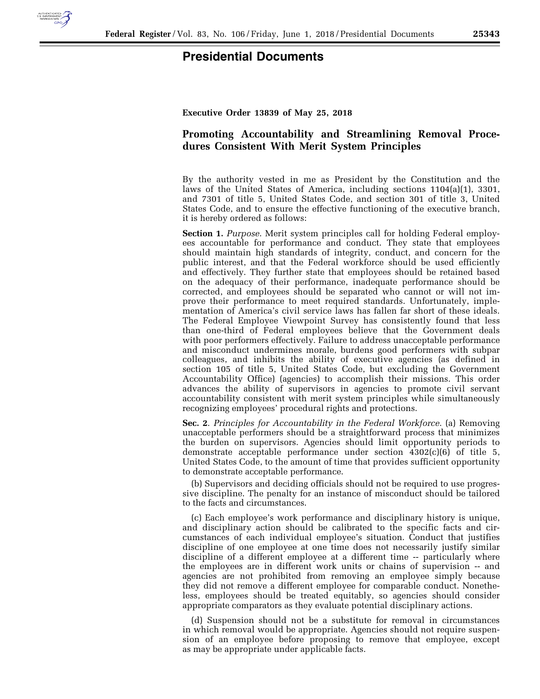

## **Presidential Documents**

**Executive Order 13839 of May 25, 2018** 

## **Promoting Accountability and Streamlining Removal Procedures Consistent With Merit System Principles**

By the authority vested in me as President by the Constitution and the laws of the United States of America, including sections 1104(a)(1), 3301, and 7301 of title 5, United States Code, and section 301 of title 3, United States Code, and to ensure the effective functioning of the executive branch, it is hereby ordered as follows:

**Section 1.** *Purpose*. Merit system principles call for holding Federal employees accountable for performance and conduct. They state that employees should maintain high standards of integrity, conduct, and concern for the public interest, and that the Federal workforce should be used efficiently and effectively. They further state that employees should be retained based on the adequacy of their performance, inadequate performance should be corrected, and employees should be separated who cannot or will not improve their performance to meet required standards. Unfortunately, implementation of America's civil service laws has fallen far short of these ideals. The Federal Employee Viewpoint Survey has consistently found that less than one-third of Federal employees believe that the Government deals with poor performers effectively. Failure to address unacceptable performance and misconduct undermines morale, burdens good performers with subpar colleagues, and inhibits the ability of executive agencies (as defined in section 105 of title 5, United States Code, but excluding the Government Accountability Office) (agencies) to accomplish their missions. This order advances the ability of supervisors in agencies to promote civil servant accountability consistent with merit system principles while simultaneously recognizing employees' procedural rights and protections.

**Sec. 2**. *Principles for Accountability in the Federal Workforce*. (a) Removing unacceptable performers should be a straightforward process that minimizes the burden on supervisors. Agencies should limit opportunity periods to demonstrate acceptable performance under section  $\overline{4302(c)(6)}$  of title 5, United States Code, to the amount of time that provides sufficient opportunity to demonstrate acceptable performance.

(b) Supervisors and deciding officials should not be required to use progressive discipline. The penalty for an instance of misconduct should be tailored to the facts and circumstances.

(c) Each employee's work performance and disciplinary history is unique, and disciplinary action should be calibrated to the specific facts and circumstances of each individual employee's situation. Conduct that justifies discipline of one employee at one time does not necessarily justify similar discipline of a different employee at a different time -- particularly where the employees are in different work units or chains of supervision -- and agencies are not prohibited from removing an employee simply because they did not remove a different employee for comparable conduct. Nonetheless, employees should be treated equitably, so agencies should consider appropriate comparators as they evaluate potential disciplinary actions.

(d) Suspension should not be a substitute for removal in circumstances in which removal would be appropriate. Agencies should not require suspension of an employee before proposing to remove that employee, except as may be appropriate under applicable facts.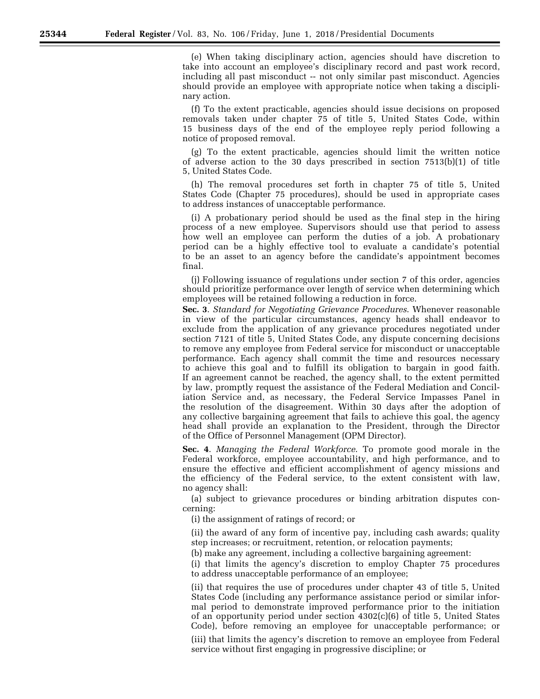(e) When taking disciplinary action, agencies should have discretion to take into account an employee's disciplinary record and past work record, including all past misconduct -- not only similar past misconduct. Agencies should provide an employee with appropriate notice when taking a disciplinary action.

(f) To the extent practicable, agencies should issue decisions on proposed removals taken under chapter 75 of title 5, United States Code, within 15 business days of the end of the employee reply period following a notice of proposed removal.

(g) To the extent practicable, agencies should limit the written notice of adverse action to the 30 days prescribed in section 7513(b)(1) of title 5, United States Code.

(h) The removal procedures set forth in chapter 75 of title 5, United States Code (Chapter 75 procedures), should be used in appropriate cases to address instances of unacceptable performance.

(i) A probationary period should be used as the final step in the hiring process of a new employee. Supervisors should use that period to assess how well an employee can perform the duties of a job. A probationary period can be a highly effective tool to evaluate a candidate's potential to be an asset to an agency before the candidate's appointment becomes final.

(j) Following issuance of regulations under section 7 of this order, agencies should prioritize performance over length of service when determining which employees will be retained following a reduction in force.

**Sec. 3**. *Standard for Negotiating Grievance Procedures*. Whenever reasonable in view of the particular circumstances, agency heads shall endeavor to exclude from the application of any grievance procedures negotiated under section 7121 of title 5, United States Code, any dispute concerning decisions to remove any employee from Federal service for misconduct or unacceptable performance. Each agency shall commit the time and resources necessary to achieve this goal and to fulfill its obligation to bargain in good faith. If an agreement cannot be reached, the agency shall, to the extent permitted by law, promptly request the assistance of the Federal Mediation and Conciliation Service and, as necessary, the Federal Service Impasses Panel in the resolution of the disagreement. Within 30 days after the adoption of any collective bargaining agreement that fails to achieve this goal, the agency head shall provide an explanation to the President, through the Director of the Office of Personnel Management (OPM Director).

**Sec. 4**. *Managing the Federal Workforce*. To promote good morale in the Federal workforce, employee accountability, and high performance, and to ensure the effective and efficient accomplishment of agency missions and the efficiency of the Federal service, to the extent consistent with law, no agency shall:

(a) subject to grievance procedures or binding arbitration disputes concerning:

(i) the assignment of ratings of record; or

(ii) the award of any form of incentive pay, including cash awards; quality step increases; or recruitment, retention, or relocation payments;

(b) make any agreement, including a collective bargaining agreement:

(i) that limits the agency's discretion to employ Chapter 75 procedures to address unacceptable performance of an employee;

(ii) that requires the use of procedures under chapter 43 of title 5, United States Code (including any performance assistance period or similar informal period to demonstrate improved performance prior to the initiation of an opportunity period under section 4302(c)(6) of title 5, United States Code), before removing an employee for unacceptable performance; or

(iii) that limits the agency's discretion to remove an employee from Federal service without first engaging in progressive discipline; or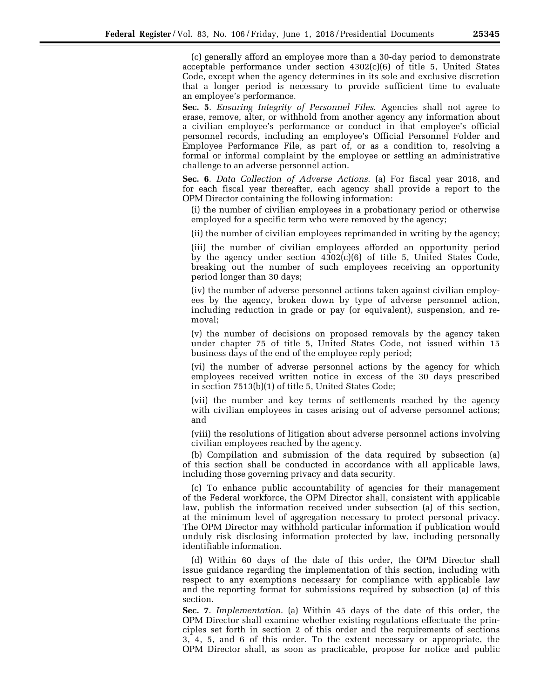(c) generally afford an employee more than a 30-day period to demonstrate acceptable performance under section  $4302(c)(6)$  of title 5, United States Code, except when the agency determines in its sole and exclusive discretion that a longer period is necessary to provide sufficient time to evaluate an employee's performance.

**Sec. 5**. *Ensuring Integrity of Personnel Files*. Agencies shall not agree to erase, remove, alter, or withhold from another agency any information about a civilian employee's performance or conduct in that employee's official personnel records, including an employee's Official Personnel Folder and Employee Performance File, as part of, or as a condition to, resolving a formal or informal complaint by the employee or settling an administrative challenge to an adverse personnel action.

**Sec. 6**. *Data Collection of Adverse Actions*. (a) For fiscal year 2018, and for each fiscal year thereafter, each agency shall provide a report to the OPM Director containing the following information:

(i) the number of civilian employees in a probationary period or otherwise employed for a specific term who were removed by the agency;

(ii) the number of civilian employees reprimanded in writing by the agency;

(iii) the number of civilian employees afforded an opportunity period by the agency under section  $4302(c)(6)$  of title 5, United States Code, breaking out the number of such employees receiving an opportunity period longer than 30 days;

(iv) the number of adverse personnel actions taken against civilian employees by the agency, broken down by type of adverse personnel action, including reduction in grade or pay (or equivalent), suspension, and removal;

(v) the number of decisions on proposed removals by the agency taken under chapter 75 of title 5, United States Code, not issued within 15 business days of the end of the employee reply period;

(vi) the number of adverse personnel actions by the agency for which employees received written notice in excess of the 30 days prescribed in section 7513(b)(1) of title 5, United States Code;

(vii) the number and key terms of settlements reached by the agency with civilian employees in cases arising out of adverse personnel actions; and

(viii) the resolutions of litigation about adverse personnel actions involving civilian employees reached by the agency.

(b) Compilation and submission of the data required by subsection (a) of this section shall be conducted in accordance with all applicable laws, including those governing privacy and data security.

(c) To enhance public accountability of agencies for their management of the Federal workforce, the OPM Director shall, consistent with applicable law, publish the information received under subsection (a) of this section, at the minimum level of aggregation necessary to protect personal privacy. The OPM Director may withhold particular information if publication would unduly risk disclosing information protected by law, including personally identifiable information.

(d) Within 60 days of the date of this order, the OPM Director shall issue guidance regarding the implementation of this section, including with respect to any exemptions necessary for compliance with applicable law and the reporting format for submissions required by subsection (a) of this section.

**Sec. 7**. *Implementation*. (a) Within 45 days of the date of this order, the OPM Director shall examine whether existing regulations effectuate the principles set forth in section 2 of this order and the requirements of sections 3, 4, 5, and 6 of this order. To the extent necessary or appropriate, the OPM Director shall, as soon as practicable, propose for notice and public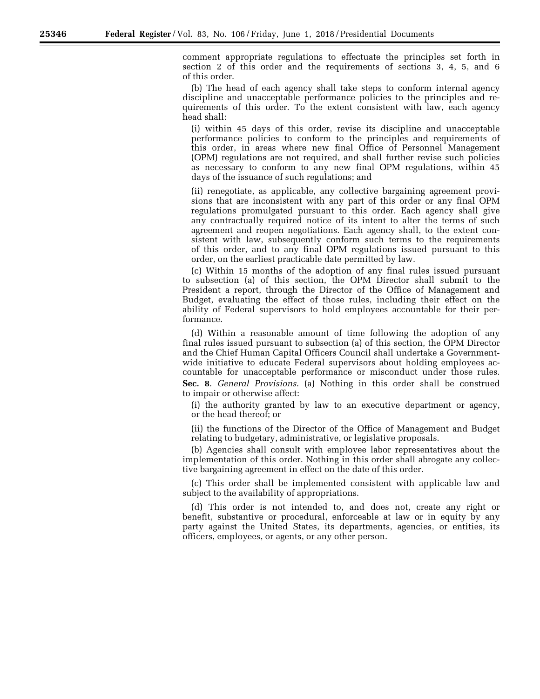comment appropriate regulations to effectuate the principles set forth in section 2 of this order and the requirements of sections 3, 4, 5, and 6 of this order.

(b) The head of each agency shall take steps to conform internal agency discipline and unacceptable performance policies to the principles and requirements of this order. To the extent consistent with law, each agency head shall:

(i) within 45 days of this order, revise its discipline and unacceptable performance policies to conform to the principles and requirements of this order, in areas where new final Office of Personnel Management (OPM) regulations are not required, and shall further revise such policies as necessary to conform to any new final OPM regulations, within 45 days of the issuance of such regulations; and

(ii) renegotiate, as applicable, any collective bargaining agreement provisions that are inconsistent with any part of this order or any final OPM regulations promulgated pursuant to this order. Each agency shall give any contractually required notice of its intent to alter the terms of such agreement and reopen negotiations. Each agency shall, to the extent consistent with law, subsequently conform such terms to the requirements of this order, and to any final OPM regulations issued pursuant to this order, on the earliest practicable date permitted by law.

(c) Within 15 months of the adoption of any final rules issued pursuant to subsection (a) of this section, the OPM Director shall submit to the President a report, through the Director of the Office of Management and Budget, evaluating the effect of those rules, including their effect on the ability of Federal supervisors to hold employees accountable for their performance.

(d) Within a reasonable amount of time following the adoption of any final rules issued pursuant to subsection (a) of this section, the OPM Director and the Chief Human Capital Officers Council shall undertake a Governmentwide initiative to educate Federal supervisors about holding employees accountable for unacceptable performance or misconduct under those rules. **Sec. 8**. *General Provisions*. (a) Nothing in this order shall be construed to impair or otherwise affect:

(i) the authority granted by law to an executive department or agency, or the head thereof; or

(ii) the functions of the Director of the Office of Management and Budget relating to budgetary, administrative, or legislative proposals.

(b) Agencies shall consult with employee labor representatives about the implementation of this order. Nothing in this order shall abrogate any collective bargaining agreement in effect on the date of this order.

(c) This order shall be implemented consistent with applicable law and subject to the availability of appropriations.

(d) This order is not intended to, and does not, create any right or benefit, substantive or procedural, enforceable at law or in equity by any party against the United States, its departments, agencies, or entities, its officers, employees, or agents, or any other person.